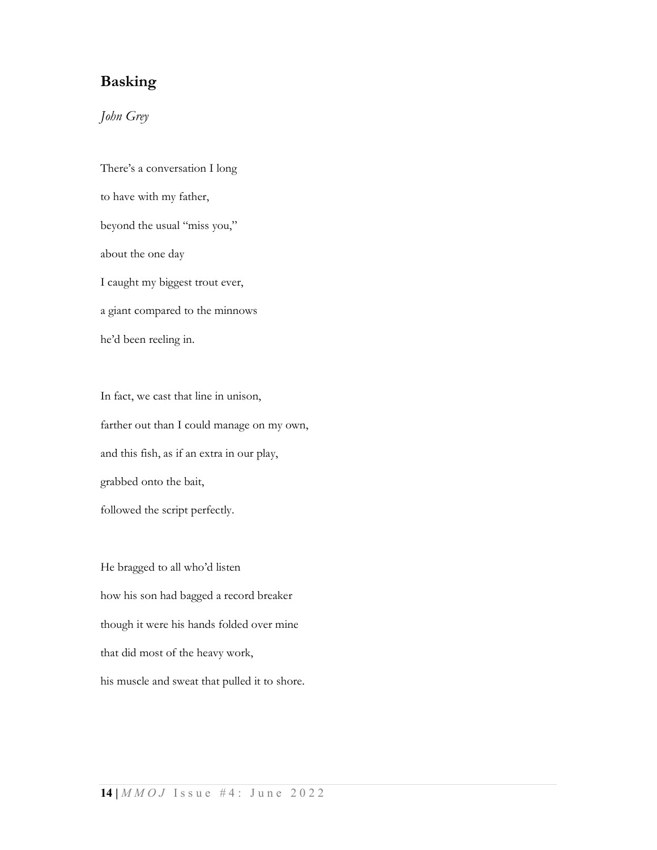## Basking

## John Grey

There's a conversation I long to have with my father, beyond the usual "miss you," about the one day I caught my biggest trout ever, a giant compared to the minnows he'd been reeling in.

In fact, we cast that line in unison, farther out than I could manage on my own, and this fish, as if an extra in our play, grabbed onto the bait, followed the script perfectly.

He bragged to all who'd listen how his son had bagged a record breaker though it were his hands folded over mine that did most of the heavy work, his muscle and sweat that pulled it to shore.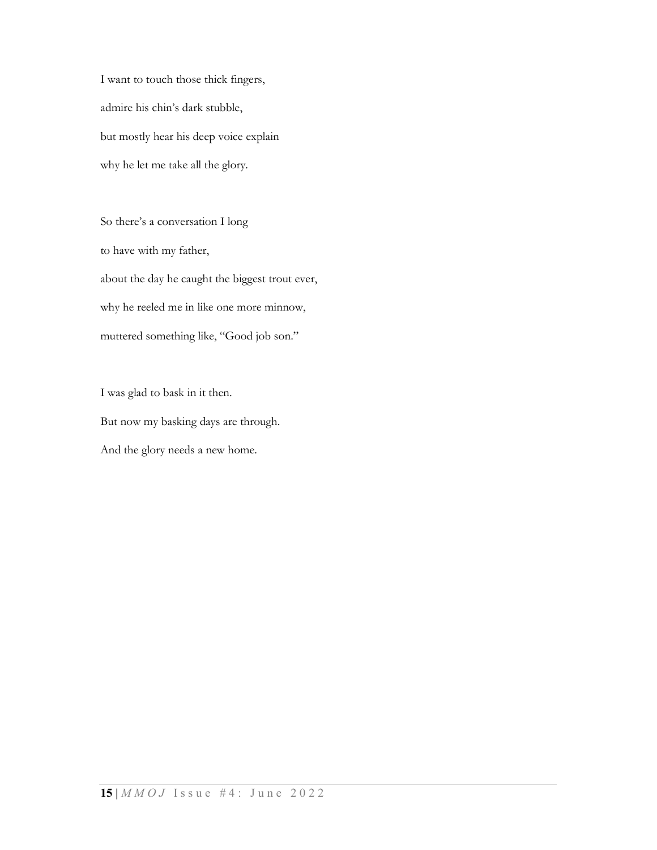I want to touch those thick fingers, admire his chin's dark stubble, but mostly hear his deep voice explain why he let me take all the glory.

So there's a conversation I long to have with my father, about the day he caught the biggest trout ever, why he reeled me in like one more minnow, muttered something like, "Good job son."

I was glad to bask in it then. But now my basking days are through. And the glory needs a new home.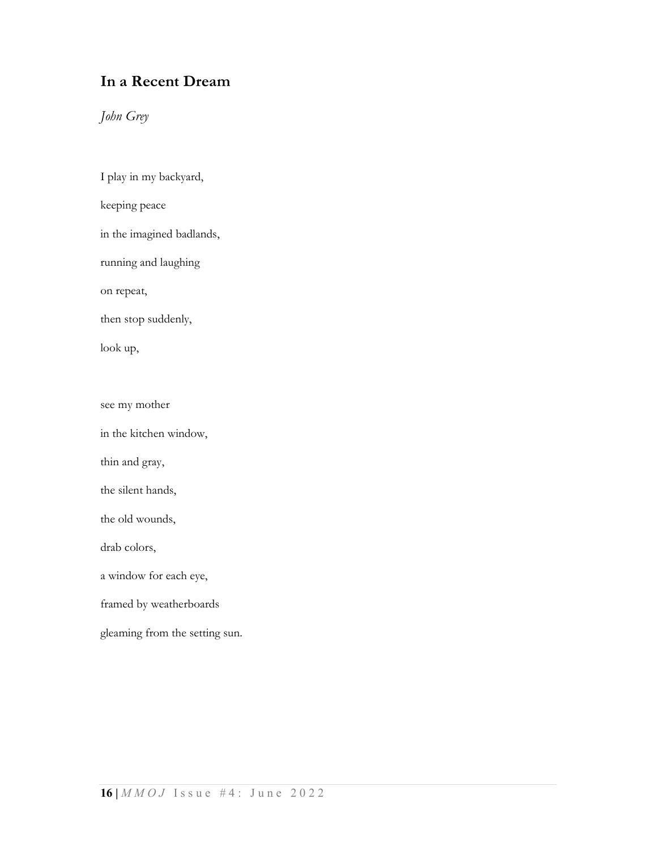## In a Recent Dream

John Grey

I play in my backyard, keeping peace in the imagined badlands, running and laughing on repeat, then stop suddenly, look up, see my mother in the kitchen window, thin and gray,

the silent hands,

the old wounds,

drab colors,

a window for each eye,

framed by weatherboards

gleaming from the setting sun.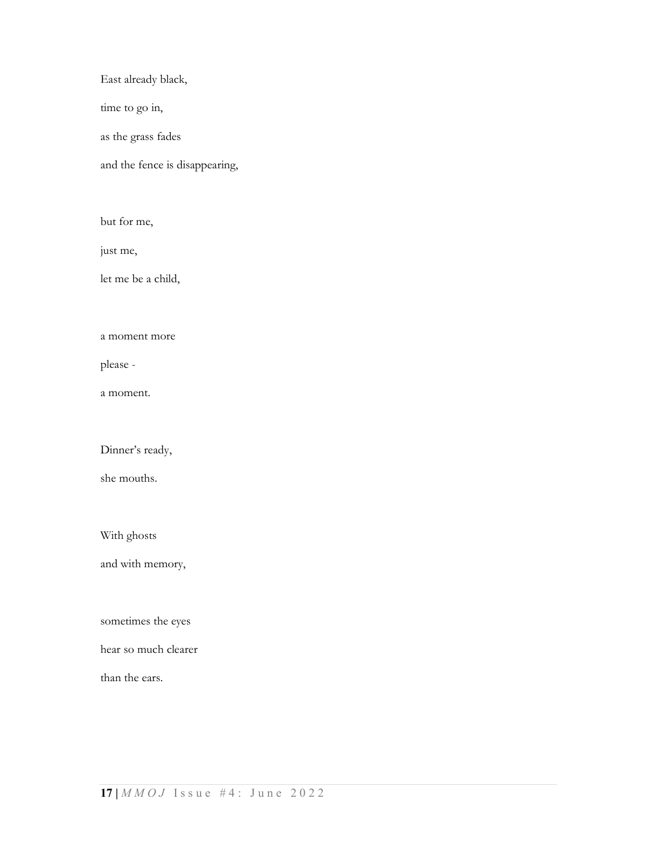East already black,

time to go in,

as the grass fades

and the fence is disappearing,

but for me,

just me,

let me be a child,

a moment more

please -

a moment.

Dinner's ready,

she mouths.

With ghosts

and with memory,

sometimes the eyes

hear so much clearer

than the ears.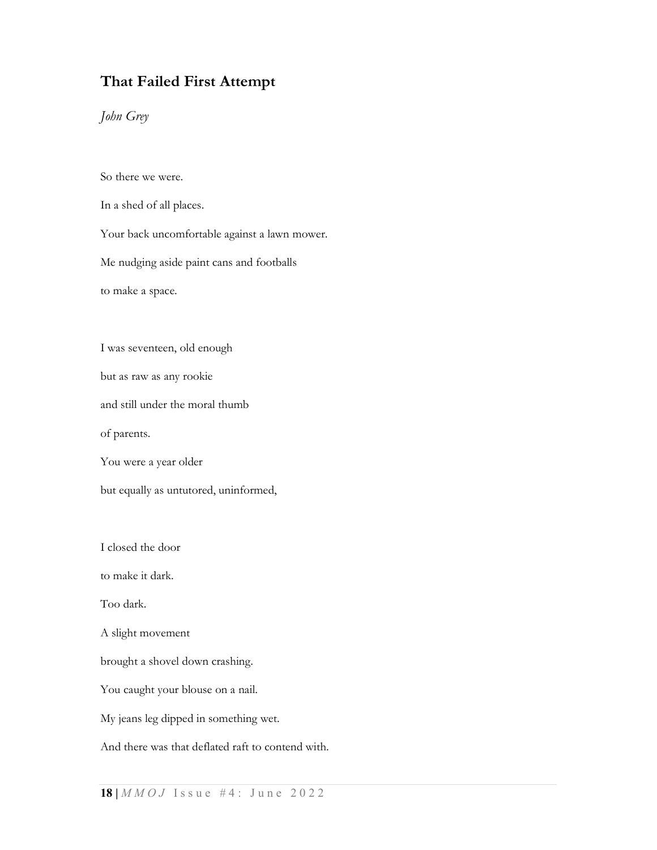## That Failed First Attempt

John Grey

So there we were.

In a shed of all places.

Your back uncomfortable against a lawn mower.

Me nudging aside paint cans and footballs

to make a space.

I was seventeen, old enough

but as raw as any rookie

and still under the moral thumb

of parents.

You were a year older

but equally as untutored, uninformed,

I closed the door

to make it dark.

Too dark.

A slight movement

brought a shovel down crashing.

You caught your blouse on a nail.

My jeans leg dipped in something wet.

And there was that deflated raft to contend with.